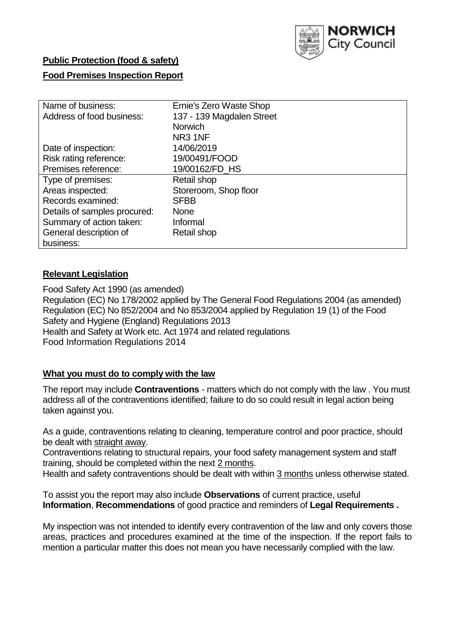

### **Public Protection (food & safety)**

### **Food Premises Inspection Report**

| Name of business:            | Ernie's Zero Waste Shop   |
|------------------------------|---------------------------|
| Address of food business:    | 137 - 139 Magdalen Street |
|                              | <b>Norwich</b>            |
|                              | NR <sub>3</sub> 1NF       |
| Date of inspection:          | 14/06/2019                |
| Risk rating reference:       | 19/00491/FOOD             |
| Premises reference:          | 19/00162/FD HS            |
| Type of premises:            | Retail shop               |
| Areas inspected:             | Storeroom, Shop floor     |
| Records examined:            | <b>SFBB</b>               |
| Details of samples procured: | <b>None</b>               |
| Summary of action taken:     | Informal                  |
| General description of       | Retail shop               |
| business:                    |                           |

#### **Relevant Legislation**

Food Safety Act 1990 (as amended) Regulation (EC) No 178/2002 applied by The General Food Regulations 2004 (as amended) Regulation (EC) No 852/2004 and No 853/2004 applied by Regulation 19 (1) of the Food Safety and Hygiene (England) Regulations 2013 Health and Safety at Work etc. Act 1974 and related regulations Food Information Regulations 2014

### **What you must do to comply with the law**

The report may include **Contraventions** - matters which do not comply with the law . You must address all of the contraventions identified; failure to do so could result in legal action being taken against you.

As a guide, contraventions relating to cleaning, temperature control and poor practice, should be dealt with straight away.

Contraventions relating to structural repairs, your food safety management system and staff training, should be completed within the next 2 months.

Health and safety contraventions should be dealt with within 3 months unless otherwise stated.

To assist you the report may also include **Observations** of current practice, useful **Information**, **Recommendations** of good practice and reminders of **Legal Requirements .**

My inspection was not intended to identify every contravention of the law and only covers those areas, practices and procedures examined at the time of the inspection. If the report fails to mention a particular matter this does not mean you have necessarily complied with the law.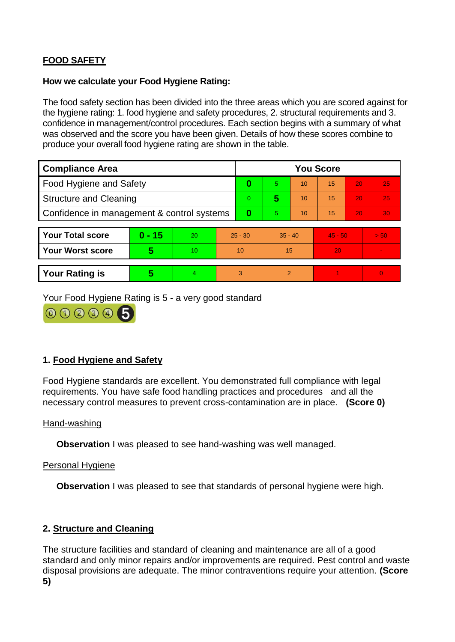# **FOOD SAFETY**

#### **How we calculate your Food Hygiene Rating:**

The food safety section has been divided into the three areas which you are scored against for the hygiene rating: 1. food hygiene and safety procedures, 2. structural requirements and 3. confidence in management/control procedures. Each section begins with a summary of what was observed and the score you have been given. Details of how these scores combine to produce your overall food hygiene rating are shown in the table.

| <b>Compliance Area</b>                     |          |    |           | <b>You Score</b> |                |    |           |    |                |  |  |
|--------------------------------------------|----------|----|-----------|------------------|----------------|----|-----------|----|----------------|--|--|
| Food Hygiene and Safety                    |          |    | 0         | 5                | 10             | 15 | 20        | 25 |                |  |  |
| <b>Structure and Cleaning</b>              |          |    | $\Omega$  | 5                | 10             | 15 | 20        | 25 |                |  |  |
| Confidence in management & control systems |          |    | 0         | 5                | 10             | 15 | 20        | 30 |                |  |  |
|                                            |          |    |           |                  |                |    |           |    |                |  |  |
| <b>Your Total score</b>                    | $0 - 15$ | 20 | $25 - 30$ |                  | $35 - 40$      |    | $45 - 50$ |    | > 50           |  |  |
| <b>Your Worst score</b>                    | 5        | 10 | 10        |                  | 15             |    | 20        |    | $\blacksquare$ |  |  |
|                                            |          |    |           |                  |                |    |           |    |                |  |  |
| <b>Your Rating is</b>                      | 5        | 4  | 3         |                  | $\overline{2}$ |    |           |    | $\Omega$       |  |  |

Your Food Hygiene Rating is 5 - a very good standard



## **1. Food Hygiene and Safety**

Food Hygiene standards are excellent. You demonstrated full compliance with legal requirements. You have safe food handling practices and procedures and all the necessary control measures to prevent cross-contamination are in place. **(Score 0)**

#### Hand-washing

**Observation** I was pleased to see hand-washing was well managed.

## Personal Hygiene

**Observation** I was pleased to see that standards of personal hygiene were high.

## **2. Structure and Cleaning**

The structure facilities and standard of cleaning and maintenance are all of a good standard and only minor repairs and/or improvements are required. Pest control and waste disposal provisions are adequate. The minor contraventions require your attention. **(Score 5)**